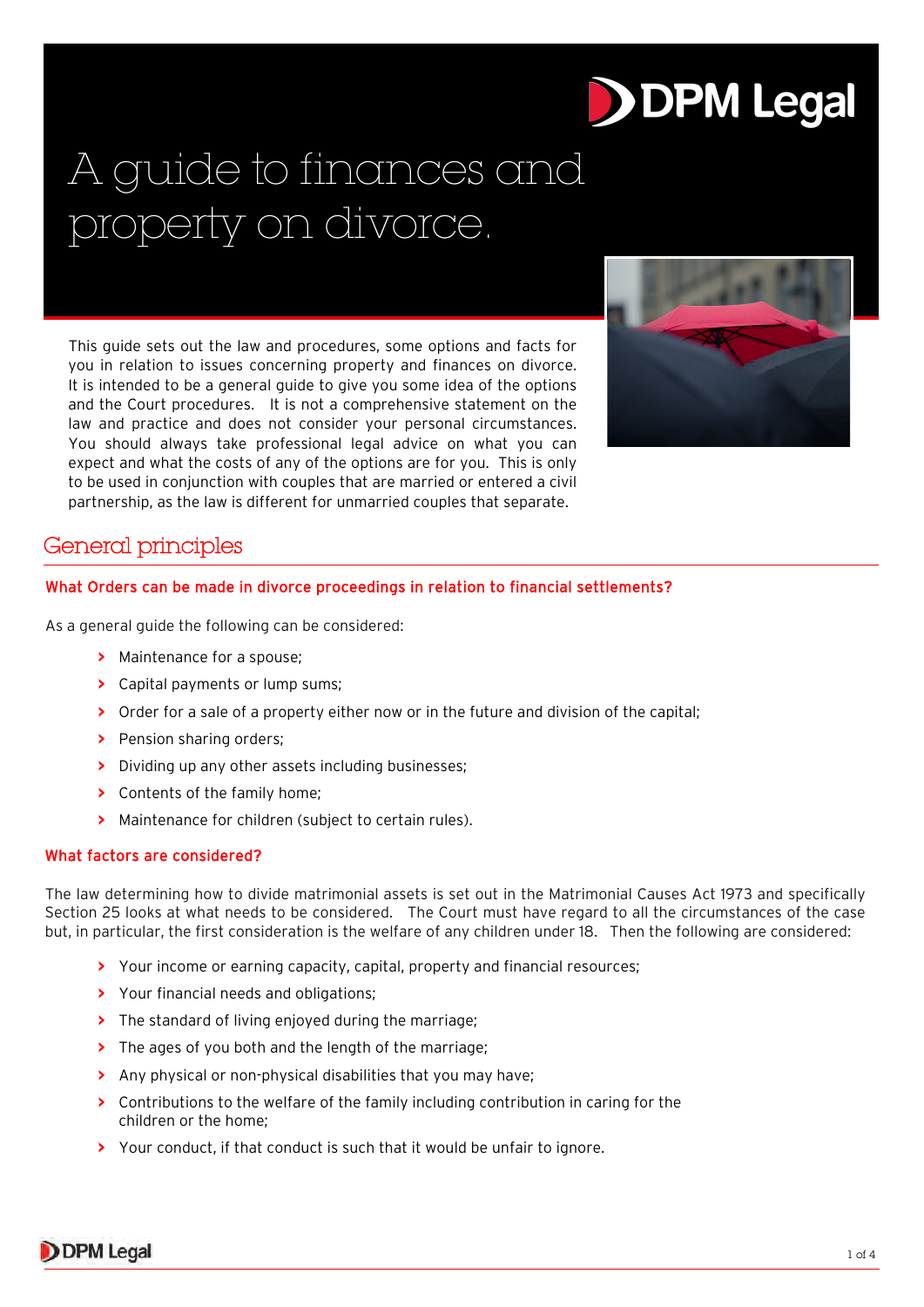# **DDPM Legal**

# A guide to finances and property on divorce.

This guide sets out the law and procedures, some options and facts for you in relation to issues concerning property and finances on divorce. It is intended to be a general guide to give you some idea of the options and the Court procedures. It is not a comprehensive statement on the law and practice and does not consider your personal circumstances. You should always take professional legal advice on what you can expect and what the costs of any of the options are for you. This is only to be used in conjunction with couples that are married or entered a civil partnership, as the law is different for unmarried couples that separate.



# General principles

# What Orders can be made in divorce proceedings in relation to financial settlements?

As a general guide the following can be considered:

- **>** Maintenance for a spouse;
- **>** Capital payments or lump sums;
- **>** Order for a sale of a property either now or in the future and division of the capital;
- **>** Pension sharing orders;
- **>** Dividing up any other assets including businesses;
- **>** Contents of the family home;
- **>** Maintenance for children (subject to certain rules).

# What factors are considered?

The law determining how to divide matrimonial assets is set out in the Matrimonial Causes Act 1973 and specifically Section 25 looks at what needs to be considered. The Court must have regard to all the circumstances of the case but, in particular, the first consideration is the welfare of any children under 18. Then the following are considered:

- **>** Your income or earning capacity, capital, property and financial resources;
- **>** Your financial needs and obligations;
- **>** The standard of living enjoyed during the marriage;
- **>** The ages of you both and the length of the marriage;
- **>** Any physical or non-physical disabilities that you may have;
- **>** Contributions to the welfare of the family including contribution in caring for the children or the home;
- **>** Your conduct, if that conduct is such that it would be unfair to ignore.

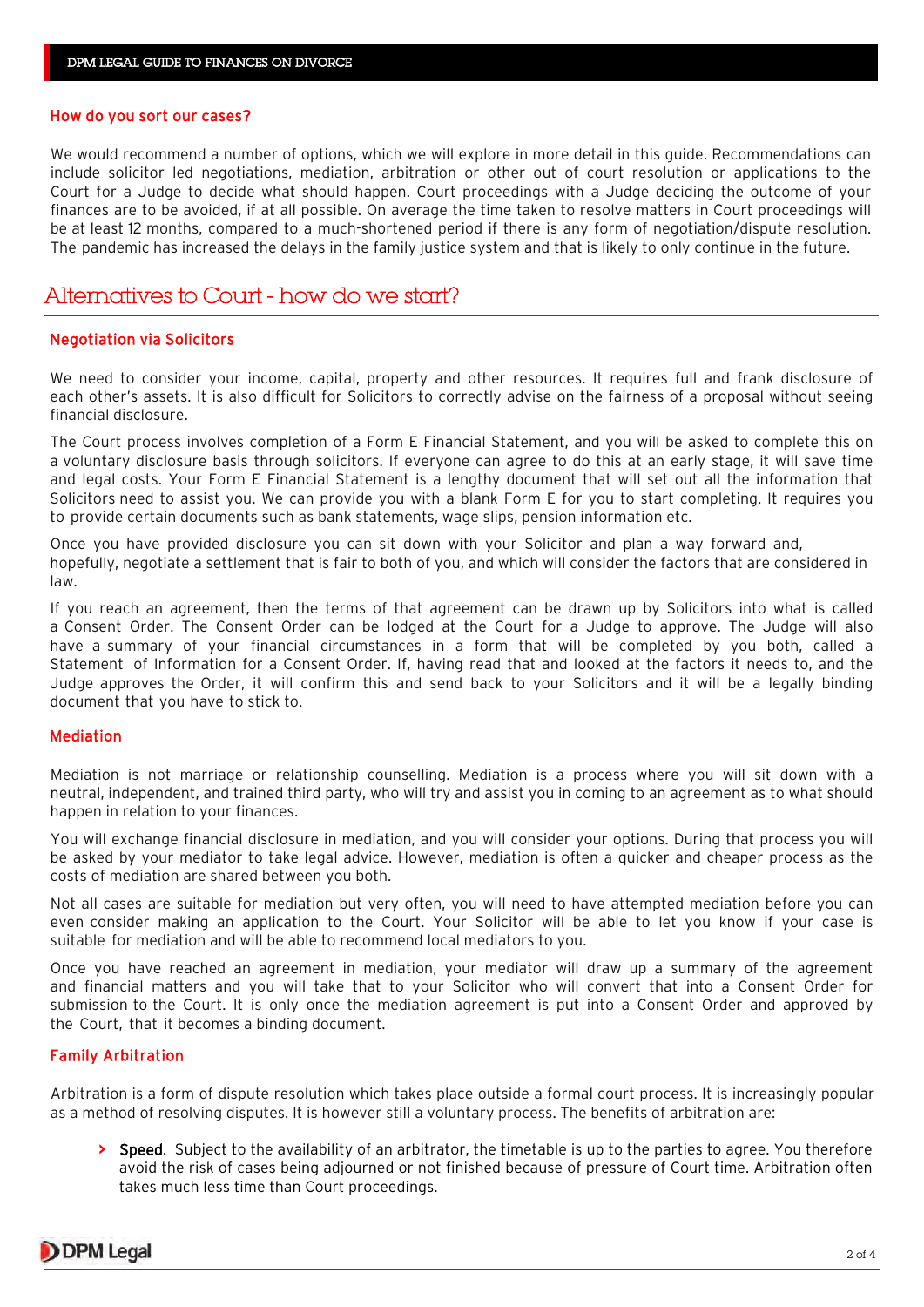#### How do you sort our cases?

We would recommend a number of options, which we will explore in more detail in this guide. Recommendations can include solicitor led negotiations, mediation, arbitration or other out of court resolution or applications to the Court for a Judge to decide what should happen. Court proceedings with a Judge deciding the outcome of your finances are to be avoided, if at all possible. On average the time taken to resolve matters in Court proceedings will be at least 12 months, compared to a much-shortened period if there is any form of negotiation/dispute resolution. The pandemic has increased the delays in the family justice system and that is likely to only continue in the future.

# Alternatives to Court - how do we start?

#### Negotiation via Solicitors

We need to consider your income, capital, property and other resources. It requires full and frank disclosure of each other's assets. It is also difficult for Solicitors to correctly advise on the fairness of a proposal without seeing financial disclosure.

The Court process involves completion of a Form E Financial Statement, and you will be asked to complete this on a voluntary disclosure basis through solicitors. If everyone can agree to do this at an early stage, it will save time and legal costs. Your Form E Financial Statement is a lengthy document that will set out all the information that Solicitors need to assist you. We can provide you with a blank Form E for you to start completing. It requires you to provide certain documents such as bank statements, wage slips, pension information etc.

Once you have provided disclosure you can sit down with your Solicitor and plan a way forward and, hopefully, negotiate a settlement that is fair to both of you, and which will consider the factors that are considered in law.

If you reach an agreement, then the terms of that agreement can be drawn up by Solicitors into what is called a Consent Order. The Consent Order can be lodged at the Court for a Judge to approve. The Judge will also have a summary of your financial circumstances in a form that will be completed by you both, called a Statement of Information for a Consent Order. If, having read that and looked at the factors it needs to, and the Judge approves the Order, it will confirm this and send back to your Solicitors and it will be a legally binding document that you have to stick to.

#### Mediation

Mediation is not marriage or relationship counselling. Mediation is a process where you will sit down with a neutral, independent, and trained third party, who will try and assist you in coming to an agreement as to what should happen in relation to your finances.

You will exchange financial disclosure in mediation, and you will consider your options. During that process you will be asked by your mediator to take legal advice. However, mediation is often a quicker and cheaper process as the costs of mediation are shared between you both.

Not all cases are suitable for mediation but very often, you will need to have attempted mediation before you can even consider making an application to the Court. Your Solicitor will be able to let you know if your case is suitable for mediation and will be able to recommend local mediators to you.

Once you have reached an agreement in mediation, your mediator will draw up a summary of the agreement and financial matters and you will take that to your Solicitor who will convert that into a Consent Order for submission to the Court. It is only once the mediation agreement is put into a Consent Order and approved by the Court, that it becomes a binding document.

#### Family Arbitration

Arbitration is a form of dispute resolution which takes place outside a formal court process. It is increasingly popular as a method of resolving disputes. It is however still a voluntary process. The benefits of arbitration are:

**>** Speed. Subject to the availability of an arbitrator, the timetable is up to the parties to agree. You therefore avoid the risk of cases being adjourned or not finished because of pressure of Court time. Arbitration often takes much less time than Court proceedings.

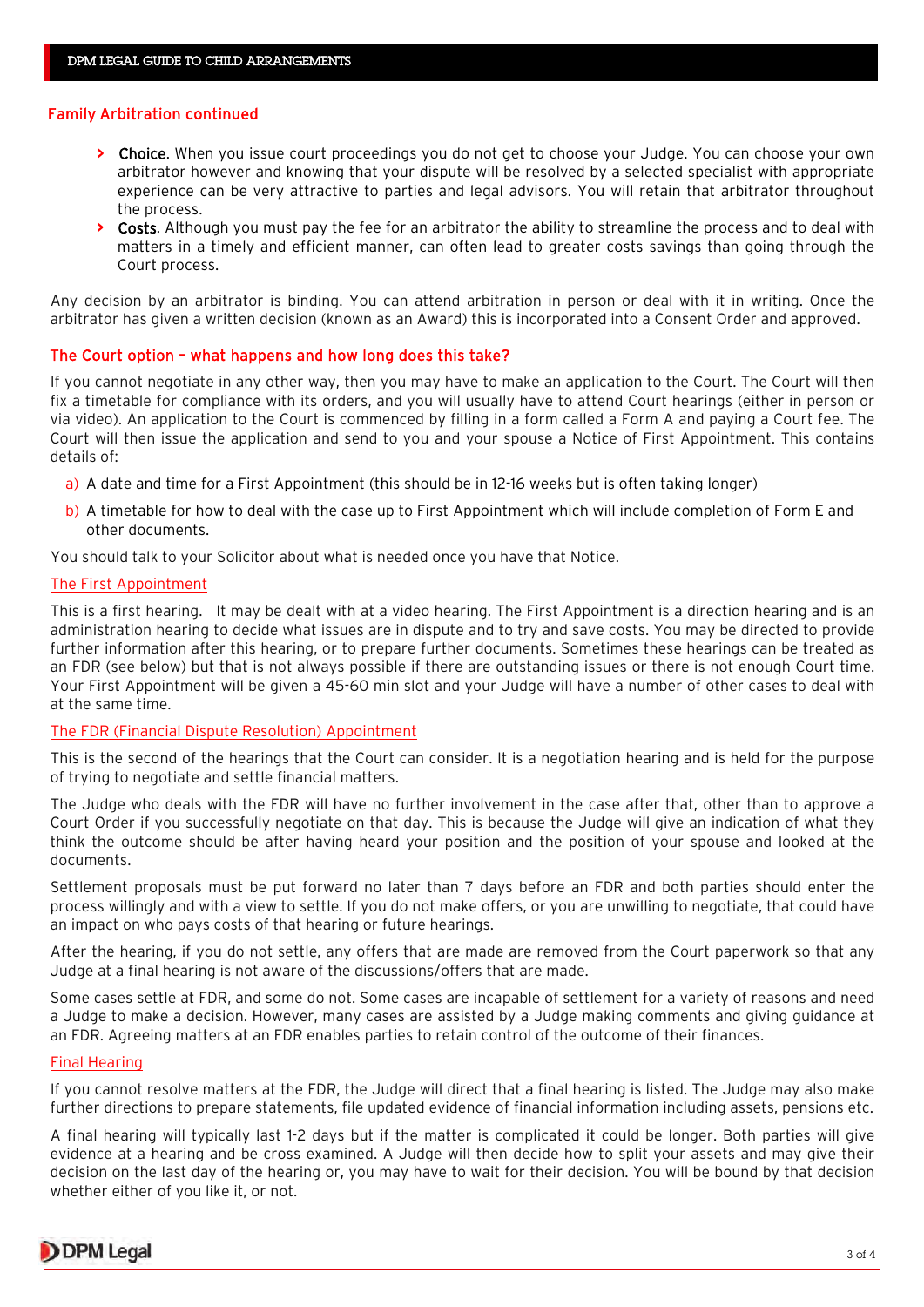## Family Arbitration continued

- **>** Choice. When you issue court proceedings you do not get to choose your Judge. You can choose your own arbitrator however and knowing that your dispute will be resolved by a selected specialist with appropriate experience can be very attractive to parties and legal advisors. You will retain that arbitrator throughout the process.
- **>** Costs. Although you must pay the fee for an arbitrator the ability to streamline the process and to deal with matters in a timely and efficient manner, can often lead to greater costs savings than going through the Court process.

Any decision by an arbitrator is binding. You can attend arbitration in person or deal with it in writing. Once the arbitrator has given a written decision (known as an Award) this is incorporated into a Consent Order and approved.

## The Court option – what happens and how long does this take?

If you cannot negotiate in any other way, then you may have to make an application to the Court. The Court will then fix a timetable for compliance with its orders, and you will usually have to attend Court hearings (either in person or via video). An application to the Court is commenced by filling in a form called a Form A and paying a Court fee. The Court will then issue the application and send to you and your spouse a Notice of First Appointment. This contains details of:

- a) A date and time for a First Appointment (this should be in 12-16 weeks but is often taking longer)
- b) A timetable for how to deal with the case up to First Appointment which will include completion of Form E and other documents.

You should talk to your Solicitor about what is needed once you have that Notice.

#### The First Appointment

This is a first hearing. It may be dealt with at a video hearing. The First Appointment is a direction hearing and is an administration hearing to decide what issues are in dispute and to try and save costs. You may be directed to provide further information after this hearing, or to prepare further documents. Sometimes these hearings can be treated as an FDR (see below) but that is not always possible if there are outstanding issues or there is not enough Court time. Your First Appointment will be given a 45-60 min slot and your Judge will have a number of other cases to deal with at the same time.

#### The FDR (Financial Dispute Resolution) Appointment

This is the second of the hearings that the Court can consider. It is a negotiation hearing and is held for the purpose of trying to negotiate and settle financial matters.

The Judge who deals with the FDR will have no further involvement in the case after that, other than to approve a Court Order if you successfully negotiate on that day. This is because the Judge will give an indication of what they think the outcome should be after having heard your position and the position of your spouse and looked at the documents.

Settlement proposals must be put forward no later than 7 days before an FDR and both parties should enter the process willingly and with a view to settle. If you do not make offers, or you are unwilling to negotiate, that could have an impact on who pays costs of that hearing or future hearings.

After the hearing, if you do not settle, any offers that are made are removed from the Court paperwork so that any Judge at a final hearing is not aware of the discussions/offers that are made.

Some cases settle at FDR, and some do not. Some cases are incapable of settlement for a variety of reasons and need a Judge to make a decision. However, many cases are assisted by a Judge making comments and giving guidance at an FDR. Agreeing matters at an FDR enables parties to retain control of the outcome of their finances.

#### Final Hearing

If you cannot resolve matters at the FDR, the Judge will direct that a final hearing is listed. The Judge may also make further directions to prepare statements, file updated evidence of financial information including assets, pensions etc.

A final hearing will typically last 1-2 days but if the matter is complicated it could be longer. Both parties will give evidence at a hearing and be cross examined. A Judge will then decide how to split your assets and may give their decision on the last day of the hearing or, you may have to wait for their decision. You will be bound by that decision whether either of you like it, or not.